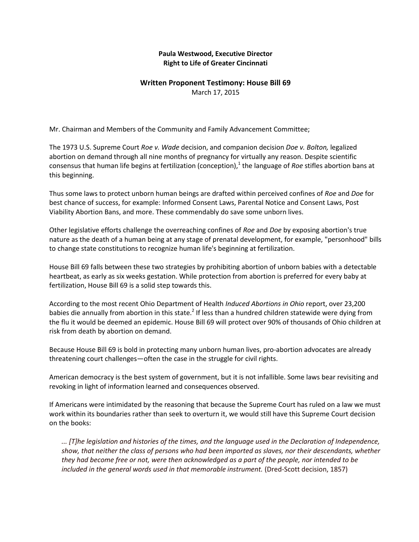## **Paula Westwood, Executive Director Right to Life of Greater Cincinnati**

## **Written Proponent Testimony: House Bill 69** March 17, 2015

Mr. Chairman and Members of the Community and Family Advancement Committee;

The 1973 U.S. Supreme Court *Roe v. Wade* decision, and companion decision *Doe v. Bolton,* legalized abortion on demand through all nine months of pregnancy for virtually any reason. Despite scientific consensus that human life begins at fertilization (conception),<sup>1</sup> the language of *Roe* stifles abortion bans at this beginning.

Thus some laws to protect unborn human beings are drafted within perceived confines of *Roe* and *Doe* for best chance of success, for example: Informed Consent Laws, Parental Notice and Consent Laws, Post Viability Abortion Bans, and more. These commendably do save some unborn lives.

Other legislative efforts challenge the overreaching confines of *Roe* and *Doe* by exposing abortion's true nature as the death of a human being at any stage of prenatal development, for example, "personhood" bills to change state constitutions to recognize human life's beginning at fertilization.

House Bill 69 falls between these two strategies by prohibiting abortion of unborn babies with a detectable heartbeat, as early as six weeks gestation. While protection from abortion is preferred for every baby at fertilization, House Bill 69 is a solid step towards this.

According to the most recent Ohio Department of Health *Induced Abortions in Ohio* report, over 23,200 babies die annually from abortion in this state.<sup>2</sup> If less than a hundred children statewide were dying from the flu it would be deemed an epidemic. House Bill 69 will protect over 90% of thousands of Ohio children at risk from death by abortion on demand.

Because House Bill 69 is bold in protecting many unborn human lives, pro-abortion advocates are already threatening court challenges—often the case in the struggle for civil rights.

American democracy is the best system of government, but it is not infallible. Some laws bear revisiting and revoking in light of information learned and consequences observed.

If Americans were intimidated by the reasoning that because the Supreme Court has ruled on a law we must work within its boundaries rather than seek to overturn it, we would still have this Supreme Court decision on the books:

*... [T]he legislation and histories of the times, and the language used in the Declaration of Independence, show, that neither the class of persons who had been imported as slaves, nor their descendants, whether they had become free or not, were then acknowledged as a part of the people, nor intended to be included in the general words used in that memorable instrument.* (Dred-Scott decision, 1857)